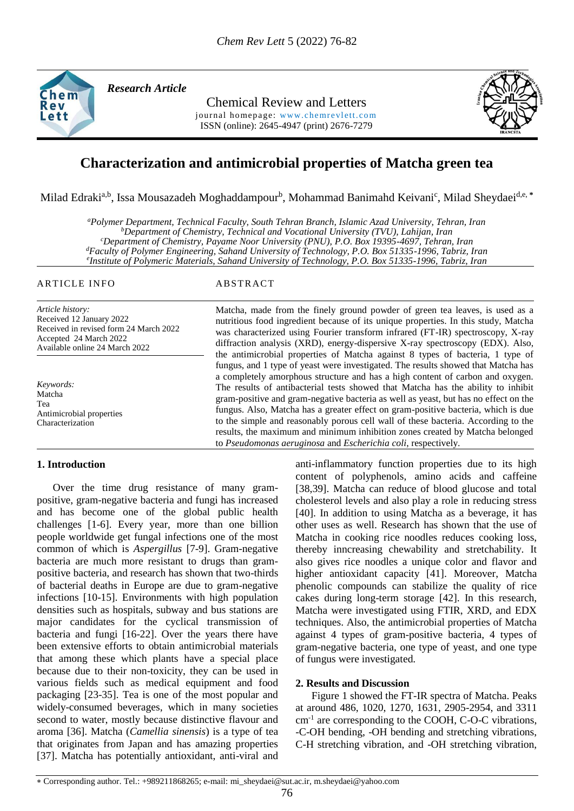

*Research Article* 

Chemical Review and Letters

journal homepage: www.chemrevlett.com ISSN (online): 2645-4947 (print) 2676-7279



# **Characterization and antimicrobial properties of Matcha green tea**

Milad Edraki<sup>a,b</sup>, Issa Mousazadeh Moghaddampour<sup>b</sup>, Mohammad Banimahd Keivani<sup>c</sup>, Milad Sheydaei<sup>d,e, \*</sup>

*<sup>a</sup>Polymer Department, Technical Faculty, South Tehran Branch, Islamic Azad University, Tehran, Iran <sup>b</sup>Department of Chemistry, Technical and Vocational University (TVU), Lahijan, Iran <sup>c</sup>Department of Chemistry, Payame Noor University (PNU), P.O. Box 19395-4697, Tehran, Iran <sup>d</sup>Faculty of Polymer Engineering, Sahand University of Technology, P.O. Box 51335-1996, Tabriz, Iran e Institute of Polymeric Materials, Sahand University of Technology, P.O. Box 51335-1996, Tabriz, Iran*

# ARTICLE INFO ABSTRACT

*Article history:* Received 12 January 2022 Received in revised form 24 March 2022 Accepted 24 March 2022 Available online 24 March 2022

*Keywords:* Matcha Tea Antimicrobial properties Characterization

# **1. Introduction**

 Over the time drug resistance of many grampositive, gram-negative bacteria and fungi has increased and has become one of the global public health challenges [1-6]. Every year, more than one billion people worldwide get fungal infections one of the most common of which is *Aspergillus* [7-9]. Gram-negative bacteria are much more resistant to drugs than grampositive bacteria, and research has shown that two-thirds of bacterial deaths in Europe are due to gram-negative infections [10-15]. Environments with high population densities such as hospitals, subway and bus stations are major candidates for the cyclical transmission of bacteria and fungi [16-22]. Over the years there have been extensive efforts to obtain antimicrobial materials that among these which plants have a special place because due to their non-toxicity, they can be used in various fields such as medical equipment and food packaging [23-35]. Tea is one of the most popular and widely-consumed beverages, which in many societies second to water, mostly because distinctive flavour and aroma [36]. Matcha (*Camellia sinensis*) is a type of tea that originates from Japan and has amazing properties [37]. Matcha has potentially antioxidant, anti-viral and

Matcha, made from the finely ground powder of green tea leaves, is used as a nutritious food ingredient because of its unique properties. In this study, Matcha was characterized using Fourier transform infrared (FT-IR) spectroscopy, X-ray diffraction analysis (XRD), energy-dispersive X-ray spectroscopy (EDX). Also, the antimicrobial properties of Matcha against 8 types of bacteria, 1 type of fungus, and 1 type of yeast were investigated. The results showed that Matcha has a completely amorphous structure and has a high content of carbon and oxygen. The results of antibacterial tests showed that Matcha has the ability to inhibit gram-positive and gram-negative bacteria as well as yeast, but has no effect on the fungus. Also, Matcha has a greater effect on gram-positive bacteria, which is due to the simple and reasonably porous cell wall of these bacteria. According to the results, the maximum and minimum inhibition zones created by Matcha belonged to *Pseudomonas aeruginosa* and *Escherichia coli*, respectively.

> anti-inflammatory function properties due to its high content of polyphenols, amino acids and caffeine [38,39]. Matcha can reduce of blood glucose and total cholesterol levels and also play a role in reducing stress [40]. In addition to using Matcha as a beverage, it has other uses as well. Research has shown that the use of Matcha in cooking rice noodles reduces cooking loss, thereby inncreasing chewability and stretchability. It also gives rice noodles a unique color and flavor and higher antioxidant capacity [41]. Moreover, Matcha phenolic compounds can stabilize the quality of rice cakes during long-term storage [42]. In this research, Matcha were investigated using FTIR, XRD, and EDX techniques. Also, the antimicrobial properties of Matcha against 4 types of gram-positive bacteria, 4 types of gram-negative bacteria, one type of yeast, and one type of fungus were investigated.

# **2. Results and Discussion**

 Figure 1 showed the FT-IR spectra of Matcha. Peaks at around 486, 1020, 1270, 1631, 2905-2954, and 3311 cm-1 are corresponding to the COOH, C-O-C vibrations, -C-OH bending, -OH bending and stretching vibrations, C-H stretching vibration, and -OH stretching vibration,

Corresponding author. Tel.: +989211868265; e-mail: [mi\\_sheydaei@sut.ac.ir,](mailto:mi_sheydaei@sut.ac.ir) m.sheydaei@yahoo.com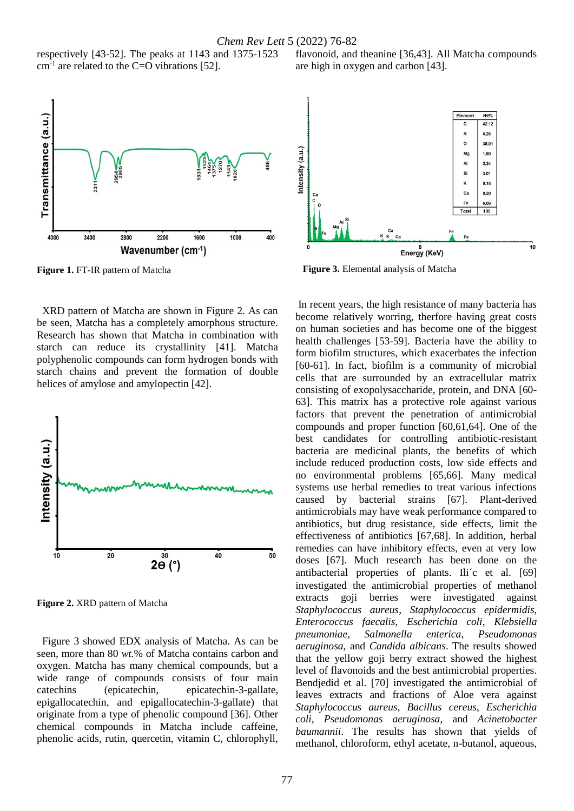respectively [43-52]. The peaks at 1143 and 1375-1523  $cm<sup>-1</sup>$  are related to the C=O vibrations [52].



**Figure 1.** FT-IR pattern of Matcha

 XRD pattern of Matcha are shown in Figure 2. As can be seen, Matcha has a completely amorphous structure. Research has shown that Matcha in combination with starch can reduce its crystallinity [41]. Matcha polyphenolic compounds can form hydrogen bonds with starch chains and prevent the formation of double helices of amylose and amylopectin [42].



**Figure 2.** XRD pattern of Matcha

 Figure 3 showed EDX analysis of Matcha. As can be seen, more than 80 *wt.*% of Matcha contains carbon and oxygen. Matcha has many chemical compounds, but a wide range of compounds consists of four main catechins (epicatechin, epicatechin-3-gallate, epigallocatechin, and epigallocatechin-3-gallate) that originate from a type of phenolic compound [36]. Other chemical compounds in Matcha include caffeine, phenolic acids, rutin, quercetin, vitamin C, chlorophyll, flavonoid, and theanine [36,43]. All Matcha compounds are high in oxygen and carbon [43].



**Figure 3.** Elemental analysis of Matcha

In recent years, the high resistance of many bacteria has become relatively worring, therfore having great costs on human societies and has become one of the biggest health challenges [53-59]. Bacteria have the ability to form biofilm structures, which exacerbates the infection [60-61]. In fact, biofilm is a community of microbial cells that are surrounded by an extracellular matrix consisting of exopolysaccharide, protein, and DNA [60- 63]. This matrix has a protective role against various factors that prevent the penetration of antimicrobial compounds and proper function [60,61,64]. One of the best candidates for controlling antibiotic-resistant bacteria are medicinal plants, the benefits of which include reduced production costs, low side effects and no environmental problems [65,66]. Many medical systems use herbal remedies to treat various infections caused by bacterial strains [67]. Plant-derived antimicrobials may have weak performance compared to antibiotics, but drug resistance, side effects, limit the effectiveness of antibiotics [67,68]. In addition, herbal remedies can have inhibitory effects, even at very low doses [67]. Much research has been done on the antibacterial properties of plants. Ili´c et al. [69] investigated the antimicrobial properties of methanol extracts goji berries were investigated against *Staphylococcus aureus*, *Staphylococcus epidermidis*, *Enterococcus faecalis*, *Escherichia coli*, *Klebsiella pneumoniae*, *Salmonella enterica*, *Pseudomonas aeruginosa*, and *Candida albicans*. The results showed that the yellow goji berry extract showed the highest level of flavonoids and the best antimicrobial properties. Bendjedid et al. [70] investigated the antimicrobial of leaves extracts and fractions of Aloe vera against *Staphylococcus aureus*, *Bacillus cereus*, *Escherichia coli*, *Pseudomonas aeruginosa*, and *Acinetobacter baumannii*. The results has shown that yields of methanol, chloroform, ethyl acetate, n-butanol, aqueous,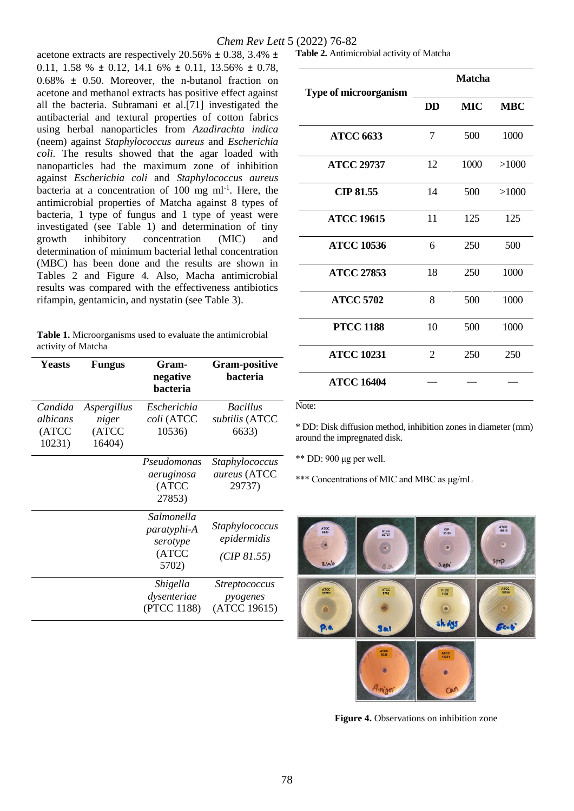# *Chem Rev Lett* 5 (2022) 76-82

acetone extracts are respectively 20.56% ± 0.38, 3.4% ± 0.11, 1.58 %  $\pm$  0.12, 14.1 6%  $\pm$  0.11, 13.56%  $\pm$  0.78, 0.68% ± 0.50. Moreover, the n-butanol fraction on acetone and methanol extracts has positive effect against all the bacteria. Subramani et al.[71] investigated the antibacterial and textural properties of cotton fabrics using herbal nanoparticles from *Azadirachta indica* (neem) against *Staphylococcus aureus* and *Escherichia coli*. The results showed that the agar loaded with nanoparticles had the maximum zone of inhibition against *Escherichia coli* and *Staphylococcus aureus* bacteria at a concentration of  $100$  mg ml<sup>-1</sup>. Here, the antimicrobial properties of Matcha against 8 types of bacteria, 1 type of fungus and 1 type of yeast were investigated (see Table 1) and determination of tiny growth inhibitory concentration (MIC) and determination of minimum bacterial lethal concentration (MBC) has been done and the results are shown in Tables 2 and Figure 4. Also, Macha antimicrobial results was compared with the effectiveness antibiotics rifampin, gentamicin, and nystatin (see Table 3).

|                    | <b>Table 1.</b> Microorganisms used to evaluate the antimicrobial |
|--------------------|-------------------------------------------------------------------|
| activity of Matcha |                                                                   |

| Yeasts                                 | <b>Fungus</b>                           | Gram-<br>negative<br>bacteria                                  | <b>Gram-positive</b><br><b>bacteria</b>          |
|----------------------------------------|-----------------------------------------|----------------------------------------------------------------|--------------------------------------------------|
| Candida<br>albicans<br>(ATCC<br>10231) | Aspergillus<br>niger<br>(ATCC<br>16404) | Escherichia<br>coli (ATCC<br>10536)                            | <b>Bacillus</b><br>subtilis (ATCC<br>6633)       |
|                                        |                                         | Pseudomonas<br>aeruginosa<br>(ATCC<br>27853)                   | <i>Staphylococcus</i><br>aureus (ATCC<br>29737)  |
|                                        |                                         | Salmonella<br><i>paratyphi-A</i><br>serotype<br>(ATCC<br>5702) | Staphylococcus<br>epidermidis<br>(CIP 81.55)     |
|                                        |                                         | Shigella<br>dysenteriae<br>(PTCC 1188)                         | <i>Streptococcus</i><br>pyogenes<br>(ATCC 19615) |

**Table 2.** Antimicrobial activity of Matcha

| <b>Type of microorganism</b> | <b>Matcha</b> |            |            |  |
|------------------------------|---------------|------------|------------|--|
|                              | <b>DD</b>     | <b>MIC</b> | <b>MBC</b> |  |
| <b>ATCC 6633</b>             | 7             | 500        | 1000       |  |
| <b>ATCC 29737</b>            | 12            | 1000       | >1000      |  |
| <b>CIP 81.55</b>             | 14            | 500        | >1000      |  |
| <b>ATCC 19615</b>            | 11            | 125        | 125        |  |
| <b>ATCC 10536</b>            | 6             | 250        | 500        |  |
| <b>ATCC 27853</b>            | 18            | 250        | 1000       |  |
| <b>ATCC 5702</b>             | 8             | 500        | 1000       |  |
| <b>PTCC 1188</b>             | 10            | 500        | 1000       |  |
| <b>ATCC 10231</b>            | 2             | 250        | 250        |  |
| <b>ATCC 16404</b>            |               |            |            |  |

Note:

\* DD: Disk diffusion method, inhibition zones in diameter (mm) around the impregnated disk.

\*\* DD: 900 μg per well.

\*\*\* Concentrations of MIC and MBC as μg/mL



**Figure 4.** Observations on inhibition zone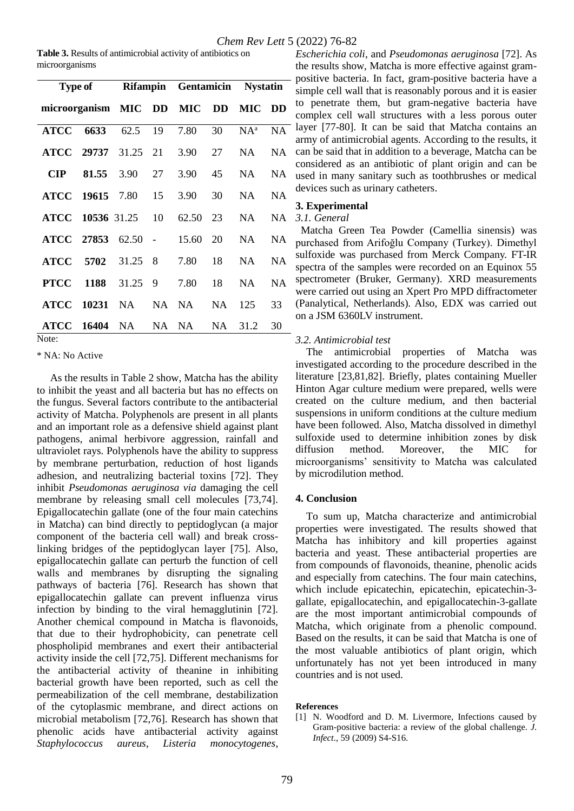| Table 3. Results of antimicrobial activity of antibiotics on |  |
|--------------------------------------------------------------|--|
| microorganisms                                               |  |

| <b>Type of</b>                               |                        |           |    | Rifampin Gentamicin Nystatin |           |           |           |
|----------------------------------------------|------------------------|-----------|----|------------------------------|-----------|-----------|-----------|
| microorganism MIC DD MIC DD                  |                        |           |    |                              |           | MIC DD    |           |
| <b>ATCC</b>                                  | 6633                   | 62.5      | 19 | 7.80                         | 30        | $NA^a$    | <b>NA</b> |
|                                              | ATCC 29737 31.25 21    |           |    | 3.90                         | 27        | NA        | <b>NA</b> |
| $\mathbf{CIP}$                               | 81.55                  | 3.90      | 27 | 3.90                         | 45        | NA –      | <b>NA</b> |
|                                              | <b>ATCC 19615 7.80</b> |           | 15 | 3.90                         | 30        | NA        | <b>NA</b> |
|                                              | ATCC 10536 31.25 10    |           |    | 62.50                        | 23        | NA        | <b>NA</b> |
|                                              | ATCC 27853 62.50 -     |           |    | 15.60                        | 20        | NA        | <b>NA</b> |
| <b>ATCC</b>                                  | 5702 31.25             |           | 8  | 7.80                         | 18        | <b>NA</b> | <b>NA</b> |
| <b>PTCC</b>                                  | 1188                   | 31.25     | 9  | 7.80                         | 18        | <b>NA</b> | <b>NA</b> |
| <b>ATCC</b>                                  | 10231                  | NA        | NA | NA                           | <b>NA</b> | 125       | 33        |
| <b>ATCC</b><br>$N_{\alpha \tau \alpha \tau}$ | 16404                  | <b>NA</b> | NA | <b>NA</b>                    | <b>NA</b> | 31.2      | 30        |

Note:

\* NA: No Active

 As the results in Table 2 show, Matcha has the ability to inhibit the yeast and all bacteria but has no effects on the fungus. Several factors contribute to the antibacterial activity of Matcha. Polyphenols are present in all plants and an important role as a defensive shield against plant pathogens, animal herbivore aggression, rainfall and ultraviolet rays. Polyphenols have the ability to suppress by membrane perturbation, reduction of host ligands adhesion, and neutralizing bacterial toxins [72]. They inhibit *Pseudomonas aeruginosa via* damaging the cell membrane by releasing small cell molecules [73,74]. Epigallocatechin gallate (one of the four main catechins in Matcha) can bind directly to peptidoglycan (a major component of the bacteria cell wall) and break crosslinking bridges of the peptidoglycan layer [75]. Also, epigallocatechin gallate can perturb the function of cell walls and membranes by disrupting the signaling pathways of bacteria [76]. Research has shown that epigallocatechin gallate can prevent influenza virus infection by binding to the viral hemagglutinin [72]. Another chemical compound in Matcha is flavonoids, that due to their hydrophobicity, can penetrate cell phospholipid membranes and exert their antibacterial activity inside the cell [72,75]. Different mechanisms for the antibacterial activity of theanine in inhibiting bacterial growth have been reported, such as cell the permeabilization of the cell membrane, destabilization of the cytoplasmic membrane, and direct actions on microbial metabolism [72,76]. Research has shown that phenolic acids have antibacterial activity against *Staphylococcus aureus*, *Listeria monocytogenes*,

*Escherichia coli*, and *Pseudomonas aeruginosa* [72]. As the results show, Matcha is more effective against grampositive bacteria. In fact, gram-positive bacteria have a simple cell wall that is reasonably porous and it is easier to penetrate them, but gram-negative bacteria have complex cell wall structures with a less porous outer layer [77-80]. It can be said that Matcha contains an army of antimicrobial agents. According to the results, it can be said that in addition to a beverage, Matcha can be considered as an antibiotic of plant origin and can be used in many sanitary such as toothbrushes or medical devices such as urinary catheters.

# **3. Experimental**

# *3.1. General*

 Matcha Green Tea Powder (Camellia sinensis) was purchased from Arifoğlu Company (Turkey). Dimethyl sulfoxide was purchased from Merck Company. FT-IR spectra of the samples were recorded on an Equinox 55 spectrometer (Bruker, Germany). XRD measurements were carried out using an Xpert Pro MPD diffractometer (Panalytical, Netherlands). Also, EDX was carried out on a JSM 6360LV instrument.

# *3.2. Antimicrobial test*

 The antimicrobial properties of Matcha was investigated according to the procedure described in the literature [23,81,82]. Briefly, plates containing Mueller Hinton Agar culture medium were prepared, wells were created on the culture medium, and then bacterial suspensions in uniform conditions at the culture medium have been followed. Also, Matcha dissolved in dimethyl sulfoxide used to determine inhibition zones by disk diffusion method. Moreover, the MIC for microorganisms' sensitivity to Matcha was calculated by microdilution method.

# **4. Conclusion**

 To sum up, Matcha characterize and antimicrobial properties were investigated. The results showed that Matcha has inhibitory and kill properties against bacteria and yeast. These antibacterial properties are from compounds of flavonoids, theanine, phenolic acids and especially from catechins. The four main catechins, which include epicatechin, epicatechin, epicatechin-3 gallate, epigallocatechin, and epigallocatechin-3-gallate are the most important antimicrobial compounds of Matcha, which originate from a phenolic compound. Based on the results, it can be said that Matcha is one of the most valuable antibiotics of plant origin, which unfortunately has not yet been introduced in many countries and is not used.

#### **References**

[1] N. Woodford and D. M. Livermore, Infections caused by Gram-positive bacteria: a review of the global challenge. *J. Infect*., 59 (2009) S4-S16.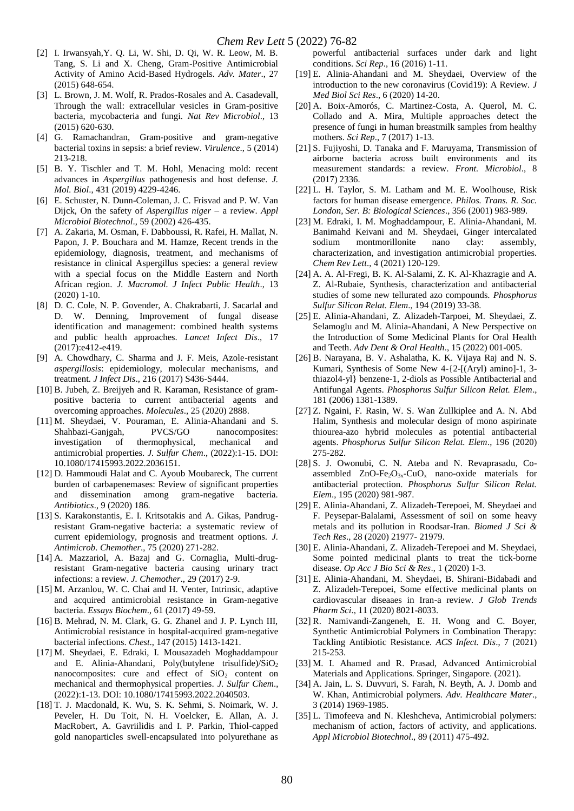- [2] I. Irwansyah,Y. Q. Li, W. Shi, D. Qi, W. R. Leow, M. B. Tang, S. Li and X. Cheng, Gram-Positive Antimicrobial Activity of Amino Acid-Based Hydrogels. *Adv. Mater*., 27 (2015) 648-654.
- [3] L. Brown, J. M. Wolf, R. Prados-Rosales and A. Casadevall, Through the wall: extracellular vesicles in Gram-positive bacteria, mycobacteria and fungi. *Nat Rev Microbiol*., 13 (2015) 620-630.
- [4] G. Ramachandran, Gram-positive and gram-negative bacterial toxins in sepsis: a brief review. *Virulence*., 5 (2014) 213-218.
- [5] B. Y. Tischler and T. M. Hohl, Menacing mold: recent advances in *Aspergillus* pathogenesis and host defense. *J. Mol. Biol*., 431 (2019) 4229-4246.
- [6] E. Schuster, N. Dunn-Coleman, J. C. Frisvad and P. W. Van Dijck, On the safety of *Aspergillus niger* – a review. *Appl Microbiol Biotechnol*., 59 (2002) 426-435.
- [7] A. Zakaria, M. Osman, F. Dabboussi, R. Rafei, H. Mallat, N. Papon, J. P. Bouchara and M. Hamze, Recent trends in the epidemiology, diagnosis, treatment, and mechanisms of resistance in clinical Aspergillus species: a general review with a special focus on the Middle Eastern and North African region. *J. Macromol. J Infect Public Health*., 13 (2020) 1-10.
- [8] D. C. Cole, N. P. Govender, A. Chakrabarti, J. Sacarlal and D. W. Denning, Improvement of fungal disease identification and management: combined health systems and public health approaches. *Lancet Infect Dis*., 17 (2017):e412-e419.
- [9] A. Chowdhary, C. Sharma and J. F. Meis, Azole-resistant *aspergillosis*: epidemiology, molecular mechanisms, and treatment. *J Infect Dis*., 216 (2017) S436-S444.
- [10] B. Jubeh, Z. Breijyeh and R. Karaman, Resistance of grampositive bacteria to current antibacterial agents and overcoming approaches. *Molecules*., 25 (2020) 2888.
- [11] M. Sheydaei, V. Pouraman, E. Alinia-Ahandani and S. Shahbazi-Ganjgah, PVCS/GO nanocomposites: investigation of thermophysical, mechanical and antimicrobial properties. *J. Sulfur Chem*., (2022):1-15. DOI: 10.1080/17415993.2022.2036151.
- [12] D. Hammoudi Halat and C. Ayoub Moubareck, The current burden of carbapenemases: Review of significant properties and dissemination among gram-negative bacteria. *Antibiotics*., 9 (2020) 186.
- [13] S. Karakonstantis, E. I. Kritsotakis and A. Gikas, Pandrugresistant Gram-negative bacteria: a systematic review of current epidemiology, prognosis and treatment options. *J. Antimicrob. Chemother*., 75 (2020) 271-282.
- [14] A. Mazzariol, A. Bazaj and G. Cornaglia, Multi-drugresistant Gram-negative bacteria causing urinary tract infections: a review. *J. Chemother*., 29 (2017) 2-9.
- [15] M. Arzanlou, W. C. Chai and H. Venter, Intrinsic, adaptive and acquired antimicrobial resistance in Gram-negative bacteria. *Essays Biochem*., 61 (2017) 49-59.
- [16] B. Mehrad, N. M. Clark, G. G. Zhanel and J. P. Lynch III, Antimicrobial resistance in hospital-acquired gram-negative bacterial infections. *Chest*., 147 (2015) 1413-1421.
- [17] M. Sheydaei, E. Edraki, I. Mousazadeh Moghaddampour and E. Alinia-Ahandani, Poly(butylene trisulfide)/ $\text{SiO}_2$ nanocomposites: cure and effect of  $SiO<sub>2</sub>$  content on mechanical and thermophysical properties. *J. Sulfur Chem*., (2022):1-13. DOI: 10.1080/17415993.2022.2040503.
- [18] T. J. Macdonald, K. Wu, S. K. Sehmi, S. Noimark, W. J. Peveler, H. Du Toit, N. H. Voelcker, E. Allan, A. J. MacRobert, A. Gavriilidis and I. P. Parkin, Thiol-capped gold nanoparticles swell-encapsulated into polyurethane as

powerful antibacterial surfaces under dark and light conditions. *Sci Rep*., 16 (2016) 1-11.

- [19] E. Alinia-Ahandani and M. Sheydaei, Overview of the introduction to the new coronavirus (Covid19): A Review. *J Med Biol Sci Res*., 6 (2020) 14-20.
- [20] A. Boix-Amorós, C. Martinez-Costa, A. Querol, M. C. Collado and A. Mira, Multiple approaches detect the presence of fungi in human breastmilk samples from healthy mothers. *Sci Rep*., 7 (2017) 1-13.
- [21] S. Fujiyoshi, D. Tanaka and F. Maruyama, Transmission of airborne bacteria across built environments and its measurement standards: a review. *Front. Microbiol*., 8 (2017) 2336.
- [22] L. H. Taylor, S. M. Latham and M. E. Woolhouse, Risk factors for human disease emergence. *Philos. Trans. R. Soc. London, Ser. B: Biological Sciences*., 356 (2001) 983-989.
- [23] M. Edraki, I. M. Moghaddampour, E. Alinia-Ahandani, M. Banimahd Keivani and M. Sheydaei, Ginger intercalated sodium montmorillonite nano clay: assembly, characterization, and investigation antimicrobial properties. *Chem Rev Lett*., 4 (2021) 120-129.
- [24] A. A. Al-Fregi, B. K. Al-Salami, Z. K. Al-Khazragie and A. Z. Al-Rubaie, Synthesis, characterization and antibacterial studies of some new tellurated azo compounds. *Phosphorus Sulfur Silicon Relat. Elem*., 194 (2019) 33-38.
- [25] E. Alinia-Ahandani, Z. Alizadeh-Tarpoei, M. Sheydaei, Z. Selamoglu and M. Alinia-Ahandani, A New Perspective on the Introduction of Some Medicinal Plants for Oral Health and Teeth. *Adv Dent & Oral Health*., 15 (2022) 001-005.
- [26] B. Narayana, B. V. Ashalatha, K. K. Vijaya Raj and N. S. Kumari, Synthesis of Some New 4-{2-[(Aryl) amino]-1, 3 thiazol4-yl} benzene-1, 2-diols as Possible Antibacterial and Antifungal Agents. *Phosphorus Sulfur Silicon Relat. Elem*., 181 (2006) 1381-1389.
- [27] Z. Ngaini, F. Rasin, W. S. Wan Zullkiplee and A. N. Abd Halim, Synthesis and molecular design of mono aspirinate thiourea-azo hybrid molecules as potential antibacterial agents. *Phosphorus Sulfur Silicon Relat. Elem*., 196 (2020) 275-282.
- [28] S. J. Owonubi, C. N. Ateba and N. Revaprasadu, Coassembled  $ZnO-Fe<sub>2</sub>O<sub>3x</sub>-CuO<sub>x</sub>$  nano-oxide materials for antibacterial protection. *Phosphorus Sulfur Silicon Relat. Elem*., 195 (2020) 981-987.
- [29] E. Alinia-Ahandani, Z. Alizadeh-Terepoei, M. Sheydaei and F. Peysepar-Balalami, Assessment of soil on some heavy metals and its pollution in Roodsar-Iran. *Biomed J Sci & Tech Res*., 28 (2020) 21977- 21979.
- [30] E. Alinia-Ahandani, Z. Alizadeh-Terepoei and M. Sheydaei, Some pointed medicinal plants to treat the tick-borne disease. *Op Acc J Bio Sci & Res*., 1 (2020) 1-3.
- [31] E. Alinia-Ahandani, M. Sheydaei, B. Shirani-Bidabadi and Z. Alizadeh-Terepoei, Some effective medicinal plants on cardiovascular diseaaes in Iran-a review. *J Glob Trends Pharm Sci*., 11 (2020) 8021-8033.
- [32] R. Namivandi-Zangeneh, E. H. Wong and C. Boyer, Synthetic Antimicrobial Polymers in Combination Therapy: Tackling Antibiotic Resistance. *ACS Infect. Dis*., 7 (2021) 215-253.
- [33] M. I. Ahamed and R. Prasad, Advanced Antimicrobial Materials and Applications. Springer, Singapore. (2021).
- [34] A. Jain, L. S. Duvvuri, S. Farah, N. Beyth, A. J. Domb and W. Khan, Antimicrobial polymers. *Adv. Healthcare Mater*., 3 (2014) 1969-1985.
- [35] L. Timofeeva and N. Kleshcheva, Antimicrobial polymers: mechanism of action, factors of activity, and applications. *Appl Microbiol Biotechnol*., 89 (2011) 475-492.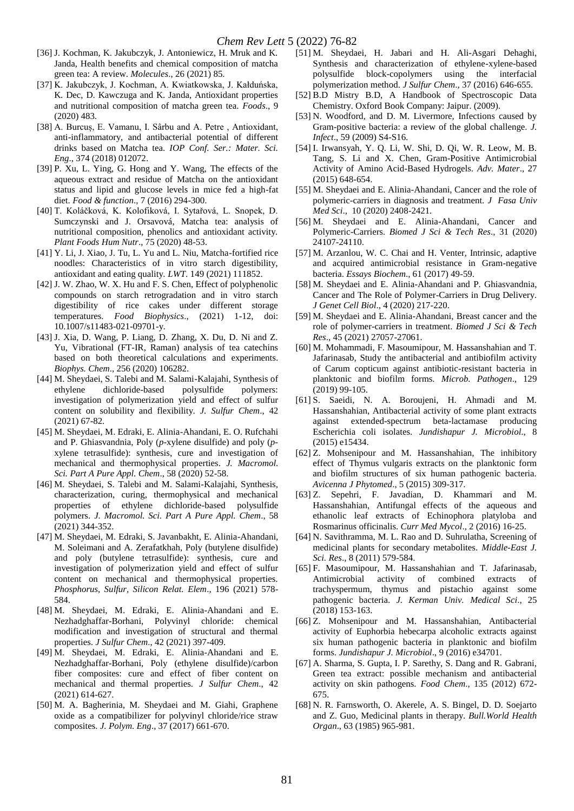- [36] J. Kochman, K. Jakubczyk, J. Antoniewicz, H. Mruk and K. Janda, Health benefits and chemical composition of matcha green tea: A review. *Molecules*., 26 (2021) 85.
- [37] K. Jakubczyk, J. Kochman, A. Kwiatkowska, J. Kałduńska, K. Dec, D. Kawczuga and K. Janda, Antioxidant properties and nutritional composition of matcha green tea. *Foods*., 9 (2020) 483.
- [38] A. Burcuș, E. Vamanu, I. Sârbu and A. Petre , Antioxidant, anti-inflammatory, and antibacterial potential of different drinks based on Matcha tea. *IOP Conf. Ser.: Mater. Sci. Eng*., 374 (2018) 012072.
- [39] P. Xu, L. Ying, G. Hong and Y. Wang, The effects of the aqueous extract and residue of Matcha on the antioxidant status and lipid and glucose levels in mice fed a high-fat diet. *Food & function*., 7 (2016) 294-300.
- [40] T. Koláčková, K. Kolofiková, I. Sytařová, L. Snopek, D. Sumczynski and J. Orsavová, Matcha tea: analysis of nutritional composition, phenolics and antioxidant activity. *Plant Foods Hum Nutr*., 75 (2020) 48-53.
- [41] Y. Li, J. Xiao, J. Tu, L. Yu and L. Niu, Matcha-fortified rice noodles: Characteristics of in vitro starch digestibility, antioxidant and eating quality. *LWT*. 149 (2021) 111852.
- [42] J. W. Zhao, W. X. Hu and F. S. Chen, Effect of polyphenolic compounds on starch retrogradation and in vitro starch digestibility of rice cakes under different storage temperatures. *Food Biophysics*., (2021) 1-12, doi: 10.1007/s11483-021-09701-y.
- [43] J. Xia, D. Wang, P. Liang, D. Zhang, X. Du, D. Ni and Z. Yu, Vibrational (FT-IR, Raman) analysis of tea catechins based on both theoretical calculations and experiments. *Biophys. Chem*., 256 (2020) 106282.
- [44] M. Sheydaei, S. Talebi and M. Salami-Kalajahi, Synthesis of ethylene dichloride-based polysulfide polymers: investigation of polymerization yield and effect of sulfur content on solubility and flexibility. *J. Sulfur Chem*., 42 (2021) 67-82.
- [45] M. Sheydaei, M. Edraki, E. Alinia-Ahandani, E. O. Rufchahi and P. Ghiasvandnia, Poly (*p*-xylene disulfide) and poly (*p*xylene tetrasulfide): synthesis, cure and investigation of mechanical and thermophysical properties. *J. Macromol. Sci. Part A Pure Appl. Chem*., 58 (2020) 52-58.
- [46] M. Sheydaei, S. Talebi and M. Salami-Kalajahi, Synthesis, characterization, curing, thermophysical and mechanical properties of ethylene dichloride-based polysulfide polymers. *J. Macromol. Sci. Part A Pure Appl. Chem*., 58 (2021) 344-352.
- [47] M. Sheydaei, M. Edraki, S. Javanbakht, E. Alinia-Ahandani, M. Soleimani and A. Zerafatkhah, Poly (butylene disulfide) and poly (butylene tetrasulfide): synthesis, cure and investigation of polymerization yield and effect of sulfur content on mechanical and thermophysical properties. *Phosphorus, Sulfur, Silicon Relat. Elem*., 196 (2021) 578- 584.
- [48] M. Sheydaei, M. Edraki, E. Alinia-Ahandani and E. Nezhadghaffar-Borhani, Polyvinyl chloride: chemical modification and investigation of structural and thermal properties. *J Sulfur Chem*., 42 (2021) 397-409.
- [49] M. Sheydaei, M. Edraki, E. Alinia-Ahandani and E. Nezhadghaffar-Borhani, Poly (ethylene disulfide)/carbon fiber composites: cure and effect of fiber content on mechanical and thermal properties. *J Sulfur Chem*., 42 (2021) 614-627.
- [50] M. A. Bagherinia, M. Sheydaei and M. Giahi, Graphene oxide as a compatibilizer for polyvinyl chloride/rice straw composites. *J. Polym. Eng*., 37 (2017) 661-670.
- [51] M. Sheydaei, H. Jabari and H. Ali-Asgari Dehaghi, Synthesis and characterization of ethylene-xylene-based polysulfide block-copolymers using the interfacial polymerization method. *J Sulfur Chem*., 37 (2016) 646-655.
- [52] B.D Mistry B.D, A Handbook of Spectroscopic Data Chemistry. Oxford Book Company: Jaipur. (2009).
- [53] N. Woodford, and D. M. Livermore, Infections caused by Gram-positive bacteria: a review of the global challenge. *J. Infect*., 59 (2009) S4-S16.
- [54] I. Irwansyah, Y. Q. Li, W. Shi, D. Qi, W. R. Leow, M. B. Tang, S. Li and X. Chen, Gram-Positive Antimicrobial Activity of Amino Acid-Based Hydrogels. *Adv. Mater*., 27 (2015) 648-654.
- [55] M. Sheydaei and E. Alinia-Ahandani, Cancer and the role of polymeric-carriers in diagnosis and treatment. *J Fasa Univ Med Sci*., 10 (2020) 2408-2421.
- [56] M. Sheydaei and E. Alinia-Ahandani, Cancer and Polymeric-Carriers. *Biomed J Sci & Tech Res*., 31 (2020) 24107-24110.
- [57] M. Arzanlou, W. C. Chai and H. Venter, Intrinsic, adaptive and acquired antimicrobial resistance in Gram-negative bacteria. *Essays Biochem*., 61 (2017) 49-59.
- [58] M. Sheydaei and E. Alinia-Ahandani and P. Ghiasvandnia, Cancer and The Role of Polymer-Carriers in Drug Delivery. *J Genet Cell Biol*., 4 (2020) 217-220.
- [59] M. Sheydaei and E. Alinia-Ahandani, Breast cancer and the role of polymer-carriers in treatment. *Biomed J Sci & Tech Res*., 45 (2021) 27057-27061.
- [60] M. Mohammadi, F. Masoumipour, M. Hassanshahian and T. Jafarinasab, Study the antibacterial and antibiofilm activity of Carum copticum against antibiotic-resistant bacteria in planktonic and biofilm forms. *Microb. Pathogen*., 129 (2019) 99-105.
- [61] S. Saeidi, N. A. Boroujeni, H. Ahmadi and M. Hassanshahian, Antibacterial activity of some plant extracts against extended-spectrum beta-lactamase producing Escherichia coli isolates. *Jundishapur J. Microbiol*., 8 (2015) e15434.
- [62] Z. Mohsenipour and M. Hassanshahian, The inhibitory effect of Thymus vulgaris extracts on the planktonic form and biofilm structures of six human pathogenic bacteria. *Avicenna J Phytomed*., 5 (2015) 309-317.
- [63] Z. Sepehri, F. Javadian, D. Khammari and M. Hassanshahian, Antifungal effects of the aqueous and ethanolic leaf extracts of Echinophora platyloba and Rosmarinus officinalis. *Curr Med Mycol*., 2 (2016) 16-25.
- [64] N. Savithramma, M. L. Rao and D. Suhrulatha, Screening of medicinal plants for secondary metabolites. *Middle-East J. Sci. Res*., 8 (2011) 579-584.
- [65] F. Masoumipour, M. Hassanshahian and T. Jafarinasab, Antimicrobial activity of combined extracts of trachyspermum, thymus and pistachio against some pathogenic bacteria. *J. Kerman Univ. Medical Sci*., 25 (2018) 153-163.
- [66] Z. Mohsenipour and M. Hassanshahian, Antibacterial activity of Euphorbia hebecarpa alcoholic extracts against six human pathogenic bacteria in planktonic and biofilm forms. *Jundishapur J. Microbiol*., 9 (2016) e34701.
- [67] A. Sharma, S. Gupta, I. P. Sarethy, S. Dang and R. Gabrani, Green tea extract: possible mechanism and antibacterial activity on skin pathogens. *Food Chem*., 135 (2012) 672- 675.
- [68] N. R. Farnsworth, O. Akerele, A. S. Bingel, D. D. Soejarto and Z. Guo, Medicinal plants in therapy. *Bull.World Health Organ*., 63 (1985) 965-981.